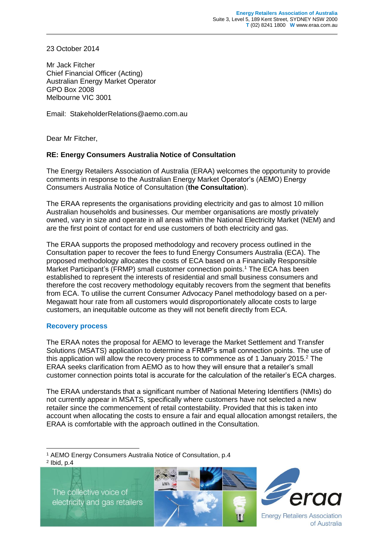23 October 2014

Mr Jack Fitcher Chief Financial Officer (Acting) Australian Energy Market Operator GPO Box 2008 Melbourne VIC 3001

Email: StakeholderRelations@aemo.com.au

Dear Mr Fitcher,

## **RE: Energy Consumers Australia Notice of Consultation**

The Energy Retailers Association of Australia (ERAA) welcomes the opportunity to provide comments in response to the Australian Energy Market Operator's (AEMO) Energy Consumers Australia Notice of Consultation (**the Consultation**).

The ERAA represents the organisations providing electricity and gas to almost 10 million Australian households and businesses. Our member organisations are mostly privately owned, vary in size and operate in all areas within the National Electricity Market (NEM) and are the first point of contact for end use customers of both electricity and gas.

The ERAA supports the proposed methodology and recovery process outlined in the Consultation paper to recover the fees to fund Energy Consumers Australia (ECA). The proposed methodology allocates the costs of ECA based on a Financially Responsible Market Participant's (FRMP) small customer connection points. <sup>1</sup> The ECA has been established to represent the interests of residential and small business consumers and therefore the cost recovery methodology equitably recovers from the segment that benefits from ECA. To utilise the current Consumer Advocacy Panel methodology based on a per-Megawatt hour rate from all customers would disproportionately allocate costs to large customers, an inequitable outcome as they will not benefit directly from ECA.

## **Recovery process**

The ERAA notes the proposal for AEMO to leverage the Market Settlement and Transfer Solutions (MSATS) application to determine a FRMP's small connection points. The use of this application will allow the recovery process to commence as of 1 January 2015.<sup>2</sup> The ERAA seeks clarification from AEMO as to how they will ensure that a retailer's small customer connection points total is accurate for the calculation of the retailer's ECA charges.

The ERAA understands that a significant number of National Metering Identifiers (NMIs) do not currently appear in MSATS, specifically where customers have not selected a new retailer since the commencement of retail contestability. Provided that this is taken into account when allocating the costs to ensure a fair and equal allocation amongst retailers, the ERAA is comfortable with the approach outlined in the Consultation.

-<sup>1</sup> AEMO Energy Consumers Australia Notice of Consultation, p.4  $2$  lbid, p.4

The collective voice of electricity and gas retailers